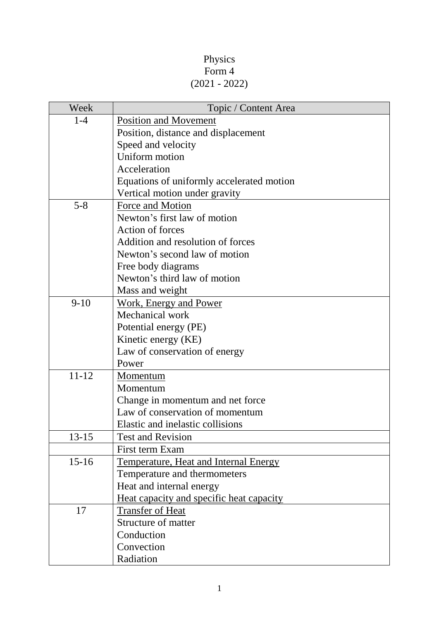## Physics Form 4 (2021 - 2022)

| Week      | Topic / Content Area                      |
|-----------|-------------------------------------------|
| $1 - 4$   | <b>Position and Movement</b>              |
|           | Position, distance and displacement       |
|           | Speed and velocity                        |
|           | Uniform motion                            |
|           | Acceleration                              |
|           | Equations of uniformly accelerated motion |
|           | Vertical motion under gravity             |
| $5 - 8$   | Force and Motion                          |
|           | Newton's first law of motion              |
|           | Action of forces                          |
|           | Addition and resolution of forces         |
|           | Newton's second law of motion             |
|           | Free body diagrams                        |
|           | Newton's third law of motion              |
|           | Mass and weight                           |
| $9-10$    | <b>Work, Energy and Power</b>             |
|           | Mechanical work                           |
|           | Potential energy (PE)                     |
|           | Kinetic energy (KE)                       |
|           | Law of conservation of energy             |
|           | Power                                     |
| $11 - 12$ | Momentum                                  |
|           | Momentum                                  |
|           | Change in momentum and net force          |
|           | Law of conservation of momentum           |
|           | Elastic and inelastic collisions          |
| $13 - 15$ | <b>Test and Revision</b>                  |
|           | First term Exam                           |
| $15 - 16$ | Temperature, Heat and Internal Energy     |
|           | Temperature and thermometers              |
|           | Heat and internal energy                  |
|           | Heat capacity and specific heat capacity  |
| 17        | <b>Transfer of Heat</b>                   |
|           | Structure of matter                       |
|           | Conduction                                |
|           | Convection                                |
|           | Radiation                                 |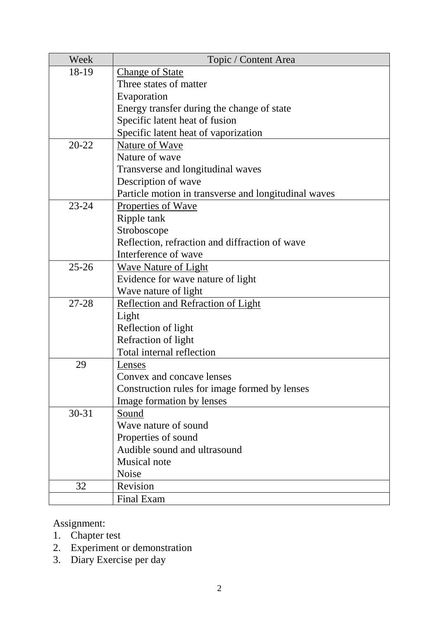| Week      | Topic / Content Area                                 |
|-----------|------------------------------------------------------|
| 18-19     | <b>Change of State</b>                               |
|           | Three states of matter                               |
|           | Evaporation                                          |
|           | Energy transfer during the change of state           |
|           | Specific latent heat of fusion                       |
|           | Specific latent heat of vaporization                 |
| $20 - 22$ | <b>Nature of Wave</b>                                |
|           | Nature of wave                                       |
|           | Transverse and longitudinal waves                    |
|           | Description of wave                                  |
|           | Particle motion in transverse and longitudinal waves |
| $23 - 24$ | Properties of Wave                                   |
|           | Ripple tank                                          |
|           | Stroboscope                                          |
|           | Reflection, refraction and diffraction of wave       |
|           | Interference of wave                                 |
| $25 - 26$ | <b>Wave Nature of Light</b>                          |
|           | Evidence for wave nature of light                    |
|           | Wave nature of light                                 |
| $27 - 28$ | Reflection and Refraction of Light                   |
|           | Light                                                |
|           | Reflection of light                                  |
|           | Refraction of light                                  |
|           | Total internal reflection                            |
| 29        | Lenses                                               |
|           | Convex and concave lenses                            |
|           | Construction rules for image formed by lenses        |
|           | Image formation by lenses                            |
| $30 - 31$ | <b>Sound</b>                                         |
|           | Wave nature of sound                                 |
|           | Properties of sound                                  |
|           | Audible sound and ultrasound                         |
|           | Musical note                                         |
|           | Noise                                                |
| 32        | Revision                                             |
|           | Final Exam                                           |

Assignment:

- 1. Chapter test
- 2. Experiment or demonstration
- 3. Diary Exercise per day